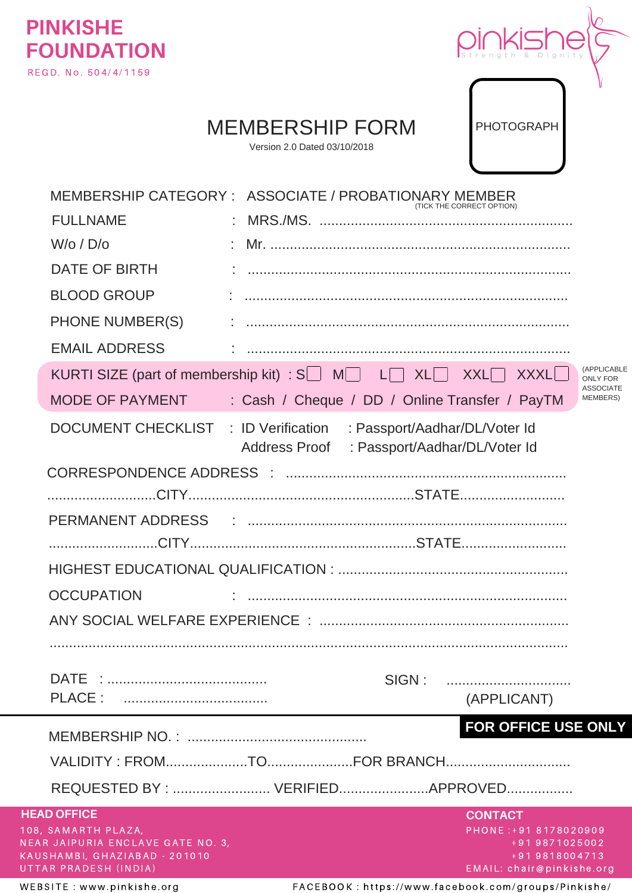



PHOTOGRAPH

## MEMBERSHIP FORM

Version 2.0 Dated 03/10/2018

|                                                                    | MEMBERSHIP CATEGORY: ASSOCIATE / PROBATIONARY MEMBER                                                              | (TICK THE CORRECT OPTION)               |
|--------------------------------------------------------------------|-------------------------------------------------------------------------------------------------------------------|-----------------------------------------|
| <b>FULLNAME</b>                                                    |                                                                                                                   |                                         |
| $W$ /o / $D$ /o                                                    |                                                                                                                   |                                         |
| DATE OF BIRTH                                                      |                                                                                                                   |                                         |
| <b>BLOOD GROUP</b>                                                 |                                                                                                                   |                                         |
| <b>PHONE NUMBER(S)</b>                                             |                                                                                                                   |                                         |
| <b>EMAIL ADDRESS</b>                                               |                                                                                                                   |                                         |
|                                                                    | KURTI SIZE (part of membership kit) : $S \cup M \cup L \cap XL \cup XXL \cap XXXL$                                | (APPLICABLE<br><b>ONLY FOR</b>          |
| MODE OF PAYMENT                                                    | : Cash / Cheque / DD / Online Transfer / PayTM                                                                    | <b>ASSOCIATE</b><br><b>MEMBERS)</b>     |
|                                                                    | DOCUMENT CHECKLIST : ID Verification : Passport/Aadhar/DL/Voter Id<br>Address Proof : Passport/Aadhar/DL/Voter Id |                                         |
|                                                                    |                                                                                                                   |                                         |
|                                                                    |                                                                                                                   |                                         |
|                                                                    |                                                                                                                   |                                         |
|                                                                    |                                                                                                                   |                                         |
|                                                                    |                                                                                                                   |                                         |
| <b>OCCUPATION</b>                                                  |                                                                                                                   |                                         |
|                                                                    |                                                                                                                   |                                         |
|                                                                    |                                                                                                                   |                                         |
|                                                                    | SIGN:                                                                                                             |                                         |
|                                                                    |                                                                                                                   | (APPLICANT)                             |
|                                                                    |                                                                                                                   | FOR OFFICE USE ONLY                     |
|                                                                    |                                                                                                                   |                                         |
|                                                                    |                                                                                                                   |                                         |
|                                                                    | REQUESTED BY :  VERIFIEDAPPROVED                                                                                  |                                         |
| <b>HEAD OFFICE</b><br>108, SAMARTH PLAZA,                          |                                                                                                                   | <b>CONTACT</b><br>PHONE: +91 8178020909 |
| NEAR JAIPURIA ENCLAVE GATE NO. 3,<br>KAUSHAMBI, GHAZIABAD - 201010 |                                                                                                                   | +91 9871025002<br>+91 9818004713        |
| UTTAR PRADESH (INDIA)                                              |                                                                                                                   | EMAIL: chair@pinkishe.org               |

W E B S I T E : w w w . p i n k i s h e . o r g FACE B O O K : h t t p s : / / w w w . f a c e b o o k . c o m / g r o u p s / P i n k i s h e /